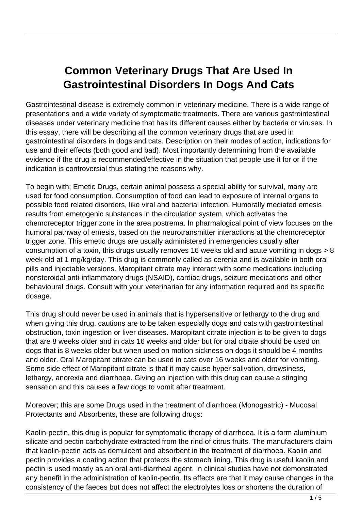## **Common Veterinary Drugs That Are Used In Gastrointestinal Disorders In Dogs And Cats**

Gastrointestinal disease is extremely common in veterinary medicine. There is a wide range of presentations and a wide variety of symptomatic treatments. There are various gastrointestinal diseases under veterinary medicine that has its different causes either by bacteria or viruses. In this essay, there will be describing all the common veterinary drugs that are used in gastrointestinal disorders in dogs and cats. Description on their modes of action, indications for use and their effects (both good and bad). Most importantly determining from the available evidence if the drug is recommended/effective in the situation that people use it for or if the indication is controversial thus stating the reasons why.

To begin with; Emetic Drugs, certain animal possess a special ability for survival, many are used for food consumption. Consumption of food can lead to exposure of internal organs to possible food related disorders, like viral and bacterial infection. Humorally mediated emesis results from emetogenic substances in the circulation system, which activates the chemoreceptor trigger zone in the area postrema. In pharmalogical point of view focuses on the humoral pathway of emesis, based on the neurotransmitter interactions at the chemoreceptor trigger zone. This emetic drugs are usually administered in emergencies usually after consumption of a toxin, this drugs usually removes 16 weeks old and acute vomiting in dogs > 8 week old at 1 mg/kg/day. This drug is commonly called as cerenia and is available in both oral pills and injectable versions. Maropitant citrate may interact with some medications including nonsteroidal anti-inflammatory drugs (NSAID), cardiac drugs, seizure medications and other behavioural drugs. Consult with your veterinarian for any information required and its specific dosage.

This drug should never be used in animals that is hypersensitive or lethargy to the drug and when giving this drug, cautions are to be taken especially dogs and cats with gastrointestinal obstruction, toxin ingestion or liver diseases. Maropitant citrate injection is to be given to dogs that are 8 weeks older and in cats 16 weeks and older but for oral citrate should be used on dogs that is 8 weeks older but when used on motion sickness on dogs it should be 4 months and older. Oral Maropitant citrate can be used in cats over 16 weeks and older for vomiting. Some side effect of Maropitant citrate is that it may cause hyper salivation, drowsiness, lethargy, anorexia and diarrhoea. Giving an injection with this drug can cause a stinging sensation and this causes a few dogs to vomit after treatment.

Moreover; this are some Drugs used in the treatment of diarrhoea (Monogastric) - Mucosal Protectants and Absorbents, these are following drugs:

Kaolin-pectin, this drug is popular for symptomatic therapy of diarrhoea. It is a form aluminium silicate and pectin carbohydrate extracted from the rind of citrus fruits. The manufacturers claim that kaolin-pectin acts as demulcent and absorbent in the treatment of diarrhoea. Kaolin and pectin provides a coating action that protects the stomach lining. This drug is useful kaolin and pectin is used mostly as an oral anti-diarrheal agent. In clinical studies have not demonstrated any benefit in the administration of kaolin-pectin. Its effects are that it may cause changes in the consistency of the faeces but does not affect the electrolytes loss or shortens the duration of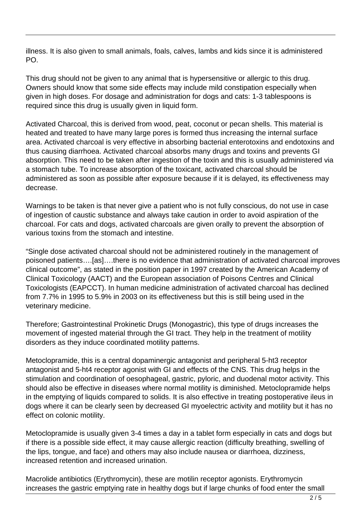illness. It is also given to small animals, foals, calves, lambs and kids since it is administered PO.

This drug should not be given to any animal that is hypersensitive or allergic to this drug. Owners should know that some side effects may include mild constipation especially when given in high doses. For dosage and administration for dogs and cats: 1-3 tablespoons is required since this drug is usually given in liquid form.

Activated Charcoal, this is derived from wood, peat, coconut or pecan shells. This material is heated and treated to have many large pores is formed thus increasing the internal surface area. Activated charcoal is very effective in absorbing bacterial enterotoxins and endotoxins and thus causing diarrhoea. Activated charcoal absorbs many drugs and toxins and prevents GI absorption. This need to be taken after ingestion of the toxin and this is usually administered via a stomach tube. To increase absorption of the toxicant, activated charcoal should be administered as soon as possible after exposure because if it is delayed, its effectiveness may decrease.

Warnings to be taken is that never give a patient who is not fully conscious, do not use in case of ingestion of caustic substance and always take caution in order to avoid aspiration of the charcoal. For cats and dogs, activated charcoals are given orally to prevent the absorption of various toxins from the stomach and intestine.

"Single dose activated charcoal should not be administered routinely in the management of poisoned patients….[as]….there is no evidence that administration of activated charcoal improves clinical outcome", as stated in the position paper in 1997 created by the American Academy of Clinical Toxicology (AACT) and the European association of Poisons Centres and Clinical Toxicologists (EAPCCT). In human medicine administration of activated charcoal has declined from 7.7% in 1995 to 5.9% in 2003 on its effectiveness but this is still being used in the veterinary medicine.

Therefore; Gastrointestinal Prokinetic Drugs (Monogastric), this type of drugs increases the movement of ingested material through the GI tract. They help in the treatment of motility disorders as they induce coordinated motility patterns.

Metoclopramide, this is a central dopaminergic antagonist and peripheral 5-ht3 receptor antagonist and 5-ht4 receptor agonist with GI and effects of the CNS. This drug helps in the stimulation and coordination of oesophageal, gastric, pyloric, and duodenal motor activity. This should also be effective in diseases where normal motility is diminished. Metoclopramide helps in the emptying of liquids compared to solids. It is also effective in treating postoperative ileus in dogs where it can be clearly seen by decreased GI myoelectric activity and motility but it has no effect on colonic motility.

Metoclopramide is usually given 3-4 times a day in a tablet form especially in cats and dogs but if there is a possible side effect, it may cause allergic reaction (difficulty breathing, swelling of the lips, tongue, and face) and others may also include nausea or diarrhoea, dizziness, increased retention and increased urination.

Macrolide antibiotics (Erythromycin), these are motilin receptor agonists. Erythromycin increases the gastric emptying rate in healthy dogs but if large chunks of food enter the small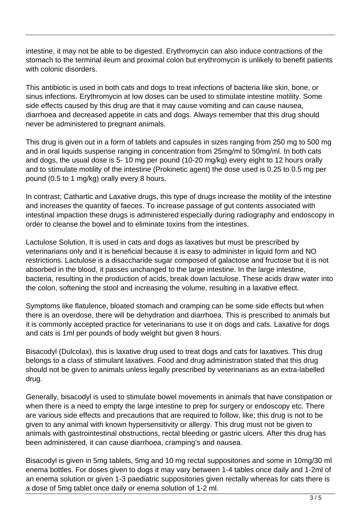intestine, it may not be able to be digested. Erythromycin can also induce contractions of the stomach to the terminal ileum and proximal colon but erythromycin is unlikely to benefit patients with colonic disorders.

This antibiotic is used in both cats and dogs to treat infections of bacteria like skin, bone, or sinus infections. Erythromycin at low doses can be used to stimulate intestine motility. Some side effects caused by this drug are that it may cause vomiting and can cause nausea, diarrhoea and decreased appetite in cats and dogs. Always remember that this drug should never be administered to pregnant animals.

This drug is given out in a form of tablets and capsules in sizes ranging from 250 mg to 500 mg and in oral liquids suspense ranging in concentration from 25mg/ml to 50mg/ml. In both cats and dogs, the usual dose is 5- 10 mg per pound (10-20 mg/kg) every eight to 12 hours orally and to stimulate motility of the intestine (Prokinetic agent) the dose used is 0.25 to 0.5 mg per pound (0.5 to 1 mg/kg) orally every 8 hours.

In contrast; Cathartic and Laxative drugs, this type of drugs increase the motility of the intestine and increases the quantity of faeces. To increase passage of gut contents associated with intestinal impaction these drugs is administered especially during radiography and endoscopy in order to cleanse the bowel and to eliminate toxins from the intestines.

Lactulose Solution, It is used in cats and dogs as laxatives but must be prescribed by veterinarians only and it is beneficial because it is easy to administer in liquid form and NO restrictions. Lactulose is a disaccharide sugar composed of galactose and fructose but it is not absorbed in the blood, it passes unchanged to the large intestine. In the large intestine, bacteria, resulting in the production of acids, break down lactulose. These acids draw water into the colon, softening the stool and increasing the volume, resulting in a laxative effect.

Symptoms like flatulence, bloated stomach and cramping can be some side effects but when there is an overdose, there will be dehydration and diarrhoea. This is prescribed to animals but it is commonly accepted practice for veterinarians to use it on dogs and cats. Laxative for dogs and cats is 1ml per pounds of body weight but given 8 hours.

Bisacodyl (Dulcolax), this is laxative drug used to treat dogs and cats for laxatives. This drug belongs to a class of stimulant laxatives. Food and drug administration stated that this drug should not be given to animals unless legally prescribed by veterinarians as an extra-labelled drug.

Generally, bisacodyl is used to stimulate bowel movements in animals that have constipation or when there is a need to empty the large intestine to prep for surgery or endoscopy etc. There are various side effects and precautions that are required to follow, like; this drug is not to be given to any animal with known hypersensitivity or allergy. This drug must not be given to animals with gastrointestinal obstructions, rectal bleeding or gastric ulcers. After this drug has been administered, it can cause diarrhoea, cramping's and nausea.

Bisacodyl is given in 5mg tablets, 5mg and 10 mg rectal suppositories and some in 10mg/30 ml enema bottles. For doses given to dogs it may vary between 1-4 tables once daily and 1-2ml of an enema solution or given 1-3 paediatric suppositories given rectally whereas for cats there is a dose of 5mg tablet once daily or enema solution of 1-2 ml.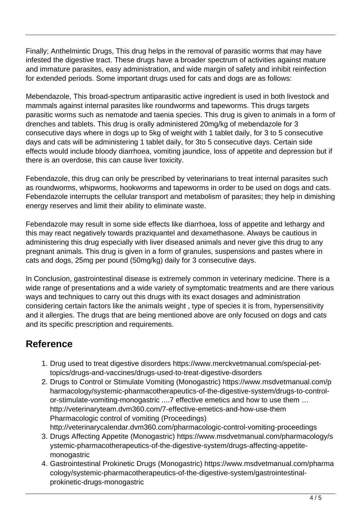Finally; Anthelmintic Drugs, This drug helps in the removal of parasitic worms that may have infested the digestive tract. These drugs have a broader spectrum of activities against mature and immature parasites, easy administration, and wide margin of safety and inhibit reinfection for extended periods. Some important drugs used for cats and dogs are as follows:

Mebendazole, This broad-spectrum antiparasitic active ingredient is used in both livestock and mammals against internal parasites like roundworms and tapeworms. This drugs targets parasitic worms such as nematode and taenia species. This drug is given to animals in a form of drenches and tablets. This drug is orally administered 20mg/kg of mebendazole for 3 consecutive days where in dogs up to 5kg of weight with 1 tablet daily, for 3 to 5 consecutive days and cats will be administering 1 tablet daily, for 3to 5 consecutive days. Certain side effects would include bloody diarrhoea, vomiting jaundice, loss of appetite and depression but if there is an overdose, this can cause liver toxicity.

Febendazole, this drug can only be prescribed by veterinarians to treat internal parasites such as roundworms, whipworms, hookworms and tapeworms in order to be used on dogs and cats. Febendazole interrupts the cellular transport and metabolism of parasites; they help in dimishing energy reserves and limit their ability to eliminate waste.

Febendazole may result in some side effects like diarrhoea, loss of appetite and lethargy and this may react negatively towards praziquantel and dexamethasone. Always be cautious in administering this drug especially with liver diseased animals and never give this drug to any pregnant animals. This drug is given in a form of granules, suspensions and pastes where in cats and dogs, 25mg per pound (50mg/kg) daily for 3 consecutive days.

In Conclusion, gastrointestinal disease is extremely common in veterinary medicine. There is a wide range of presentations and a wide variety of symptomatic treatments and are there various ways and techniques to carry out this drugs with its exact dosages and administration considering certain factors like the animals weight , type of species it is from, hypersensitivity and it allergies. The drugs that are being mentioned above are only focused on dogs and cats and its specific prescription and requirements.

## **Reference**

- 1. Drug used to treat digestive disorders https://www.merckvetmanual.com/special-pettopics/drugs-and-vaccines/drugs-used-to-treat-digestive-disorders
- 2. Drugs to Control or Stimulate Vomiting (Monogastric) https://www.msdvetmanual.com/p harmacology/systemic-pharmacotherapeutics-of-the-digestive-system/drugs-to-controlor-stimulate-vomiting-monogastric ....7 effective emetics and how to use them … http://veterinaryteam.dvm360.com/7-effective-emetics-and-how-use-them Pharmacologic control of vomiting (Proceedings) http://veterinarycalendar.dvm360.com/pharmacologic-control-vomiting-proceedings
- 3. Drugs Affecting Appetite (Monogastric) https://www.msdvetmanual.com/pharmacology/s ystemic-pharmacotherapeutics-of-the-digestive-system/drugs-affecting-appetitemonogastric
- 4. Gastrointestinal Prokinetic Drugs (Monogastric) https://www.msdvetmanual.com/pharma cology/systemic-pharmacotherapeutics-of-the-digestive-system/gastrointestinalprokinetic-drugs-monogastric